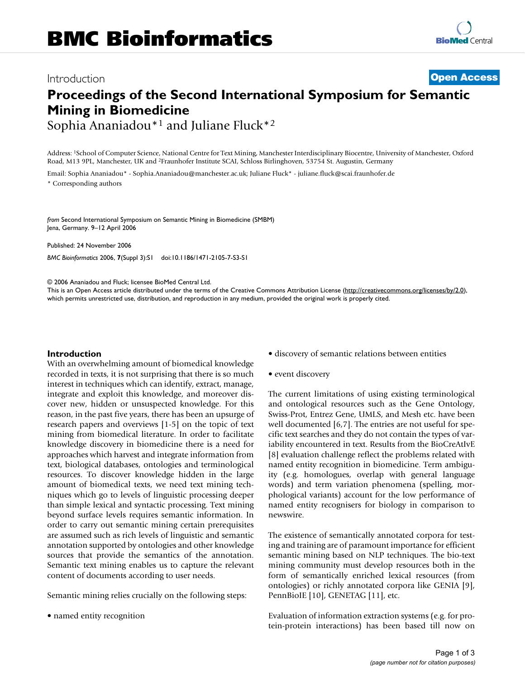## Introduction **[Open Access](http://www.biomedcentral.com/info/about/charter/)**

# **Proceedings of the Second International Symposium for Semantic Mining in Biomedicine**

Sophia Ananiadou\*1 and Juliane Fluck\*2

Address: 1School of Computer Science, National Centre for Text Mining, Manchester Interdisciplinary Biocentre, University of Manchester, Oxford Road, M13 9PL, Manchester, UK and 2Fraunhofer Institute SCAI, Schloss Birlinghoven, 53754 St. Augustin, Germany

Email: Sophia Ananiadou\* - Sophia.Ananiadou@manchester.ac.uk; Juliane Fluck\* - juliane.fluck@scai.fraunhofer.de \* Corresponding authors

*from* Second International Symposium on Semantic Mining in Biomedicine (SMBM) Jena, Germany. 9–12 April 2006

Published: 24 November 2006

*BMC Bioinformatics* 2006, **7**(Suppl 3):S1 doi:10.1186/1471-2105-7-S3-S1

© 2006 Ananiadou and Fluck; licensee BioMed Central Ltd.

This is an Open Access article distributed under the terms of the Creative Commons Attribution License [\(http://creativecommons.org/licenses/by/2.0\)](http://creativecommons.org/licenses/by/2.0), which permits unrestricted use, distribution, and reproduction in any medium, provided the original work is properly cited.

### **Introduction**

With an overwhelming amount of biomedical knowledge recorded in texts, it is not surprising that there is so much interest in techniques which can identify, extract, manage, integrate and exploit this knowledge, and moreover discover new, hidden or unsuspected knowledge. For this reason, in the past five years, there has been an upsurge of research papers and overviews [1-5] on the topic of text mining from biomedical literature. In order to facilitate knowledge discovery in biomedicine there is a need for approaches which harvest and integrate information from text, biological databases, ontologies and terminological resources. To discover knowledge hidden in the large amount of biomedical texts, we need text mining techniques which go to levels of linguistic processing deeper than simple lexical and syntactic processing. Text mining beyond surface levels requires semantic information. In order to carry out semantic mining certain prerequisites are assumed such as rich levels of linguistic and semantic annotation supported by ontologies and other knowledge sources that provide the semantics of the annotation. Semantic text mining enables us to capture the relevant content of documents according to user needs.

Semantic mining relies crucially on the following steps:

• named entity recognition

- discovery of semantic relations between entities
- event discovery

The current limitations of using existing terminological and ontological resources such as the Gene Ontology, Swiss-Prot, Entrez Gene, UMLS, and Mesh etc. have been well documented [6,7]. The entries are not useful for specific text searches and they do not contain the types of variability encountered in text. Results from the BioCreAtIvE [8] evaluation challenge reflect the problems related with named entity recognition in biomedicine. Term ambiguity (e.g. homologues, overlap with general language words) and term variation phenomena (spelling, morphological variants) account for the low performance of named entity recognisers for biology in comparison to newswire.

The existence of semantically annotated corpora for testing and training are of paramount importance for efficient semantic mining based on NLP techniques. The bio-text mining community must develop resources both in the form of semantically enriched lexical resources (from ontologies) or richly annotated corpora like GENIA [9], PennBioIE [10], GENETAG [11], etc.

Evaluation of information extraction systems (e.g. for protein-protein interactions) has been based till now on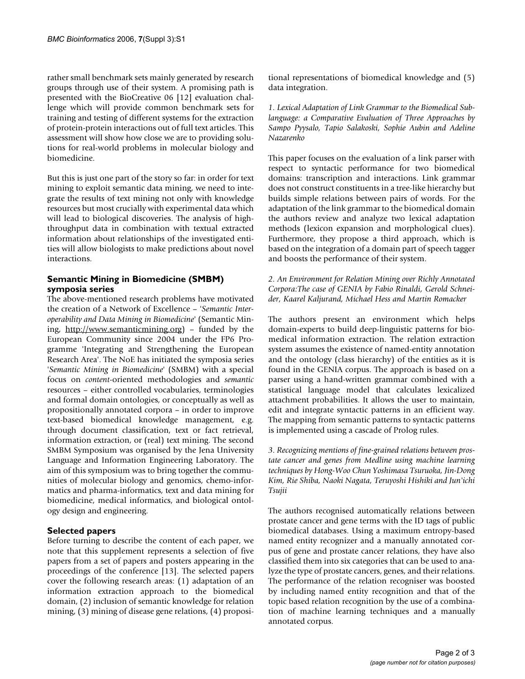rather small benchmark sets mainly generated by research groups through use of their system. A promising path is presented with the BioCreative 06 [12] evaluation challenge which will provide common benchmark sets for training and testing of different systems for the extraction of protein-protein interactions out of full text articles. This assessment will show how close we are to providing solutions for real-world problems in molecular biology and biomedicine.

But this is just one part of the story so far: in order for text mining to exploit semantic data mining, we need to integrate the results of text mining not only with knowledge resources but most crucially with experimental data which will lead to biological discoveries. The analysis of highthroughput data in combination with textual extracted information about relationships of the investigated entities will allow biologists to make predictions about novel interactions.

## **Semantic Mining in Biomedicine (SMBM) symposia series**

The above-mentioned research problems have motivated the creation of a Network of Excellence – '*Semantic Interoperability and Data Mining in Biomedicine*' (Semantic Mining, [http://www.semanticmining.org\)](http://www.semanticmining.org) – funded by the European Community since 2004 under the FP6 Programme 'Integrating and Strengthening the European Research Area'. The NoE has initiated the symposia series '*Semantic Mining in Biomedicine*' (SMBM) with a special focus on *content*-oriented methodologies and *semantic* resources – either controlled vocabularies, terminologies and formal domain ontologies, or conceptually as well as propositionally annotated corpora – in order to improve text-based biomedical knowledge management, e.g. through document classification, text or fact retrieval, information extraction, or (real) text mining. The second SMBM Symposium was organised by the Jena University Language and Information Engineering Laboratory. The aim of this symposium was to bring together the communities of molecular biology and genomics, chemo-informatics and pharma-informatics, text and data mining for biomedicine, medical informatics, and biological ontology design and engineering.

## **Selected papers**

Before turning to describe the content of each paper, we note that this supplement represents a selection of five papers from a set of papers and posters appearing in the proceedings of the conference [13]. The selected papers cover the following research areas: (1) adaptation of an information extraction approach to the biomedical domain, (2) inclusion of semantic knowledge for relation mining, (3) mining of disease gene relations, (4) propositional representations of biomedical knowledge and (5) data integration.

*1. Lexical Adaptation of Link Grammar to the Biomedical Sublanguage: a Comparative Evaluation of Three Approaches by Sampo Pyysalo, Tapio Salakoski, Sophie Aubin and Adeline Nazarenko*

This paper focuses on the evaluation of a link parser with respect to syntactic performance for two biomedical domains: transcription and interactions. Link grammar does not construct constituents in a tree-like hierarchy but builds simple relations between pairs of words. For the adaptation of the link grammar to the biomedical domain the authors review and analyze two lexical adaptation methods (lexicon expansion and morphological clues). Furthermore, they propose a third approach, which is based on the integration of a domain part of speech tagger and boosts the performance of their system.

*2. An Environment for Relation Mining over Richly Annotated Corpora:The case of GENIA by Fabio Rinaldi, Gerold Schneider, Kaarel Kaljurand, Michael Hess and Martin Romacker*

The authors present an environment which helps domain-experts to build deep-linguistic patterns for biomedical information extraction. The relation extraction system assumes the existence of named-entity annotation and the ontology (class hierarchy) of the entities as it is found in the GENIA corpus. The approach is based on a parser using a hand-written grammar combined with a statistical language model that calculates lexicalized attachment probabilities. It allows the user to maintain, edit and integrate syntactic patterns in an efficient way. The mapping from semantic patterns to syntactic patterns is implemented using a cascade of Prolog rules.

*3. Recognizing mentions of fine-grained relations between prostate cancer and genes from Medline using machine learning techniques by Hong-Woo Chun Yoshimasa Tsuruoka, Jin-Dong Kim, Rie Shiba, Naoki Nagata, Teruyoshi Hishiki and Jun'ichi Tsujii*

The authors recognised automatically relations between prostate cancer and gene terms with the ID tags of public biomedical databases. Using a maximum entropy-based named entity recognizer and a manually annotated corpus of gene and prostate cancer relations, they have also classified them into six categories that can be used to analyze the type of prostate cancers, genes, and their relations. The performance of the relation recogniser was boosted by including named entity recognition and that of the topic based relation recognition by the use of a combination of machine learning techniques and a manually annotated corpus.